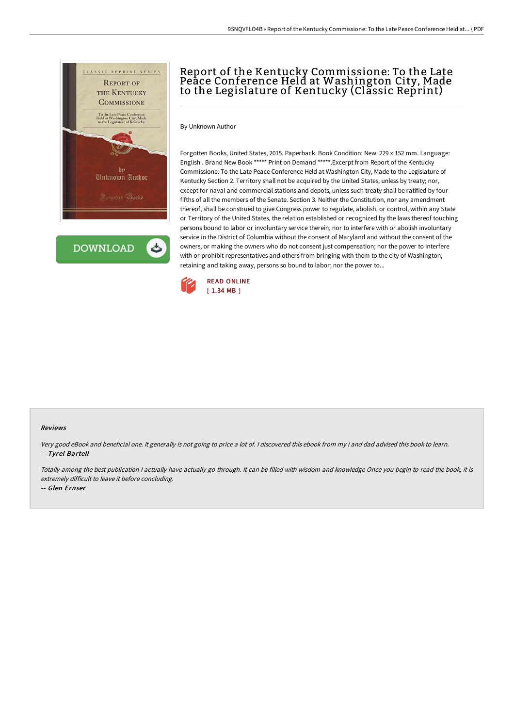

**DOWNLOAD** 

# Report of the Kentucky Commissione: To the Late Peace Conference Held at Washington City, Made to the Legislature of Kentucky (Classic Reprint)

By Unknown Author

Forgotten Books, United States, 2015. Paperback. Book Condition: New. 229 x 152 mm. Language: English . Brand New Book \*\*\*\*\* Print on Demand \*\*\*\*\*.Excerpt from Report of the Kentucky Commissione: To the Late Peace Conference Held at Washington City, Made to the Legislature of Kentucky Section 2. Territory shall not be acquired by the United States, unless by treaty; nor, except for naval and commercial stations and depots, unless such treaty shall be ratified by four fifths of all the members of the Senate. Section 3. Neither the Constitution, nor any amendment thereof, shall be construed to give Congress power to regulate, abolish, or control, within any State or Territory of the United States, the relation established or recognized by the laws thereof touching persons bound to labor or involuntary service therein, nor to interfere with or abolish involuntary service in the District of Columbia without the consent of Maryland and without the consent of the owners, or making the owners who do not consent just compensation; nor the power to interfere with or prohibit representatives and others from bringing with them to the city of Washington, retaining and taking away, persons so bound to labor; nor the power to...



#### Reviews

Very good eBook and beneficial one. It generally is not going to price <sup>a</sup> lot of. <sup>I</sup> discovered this ebook from my i and dad advised this book to learn. -- Tyrel Bartell

Totally among the best publication <sup>I</sup> actually have actually go through. It can be filled with wisdom and knowledge Once you begin to read the book, it is extremely difficult to leave it before concluding.

-- Glen Ernser